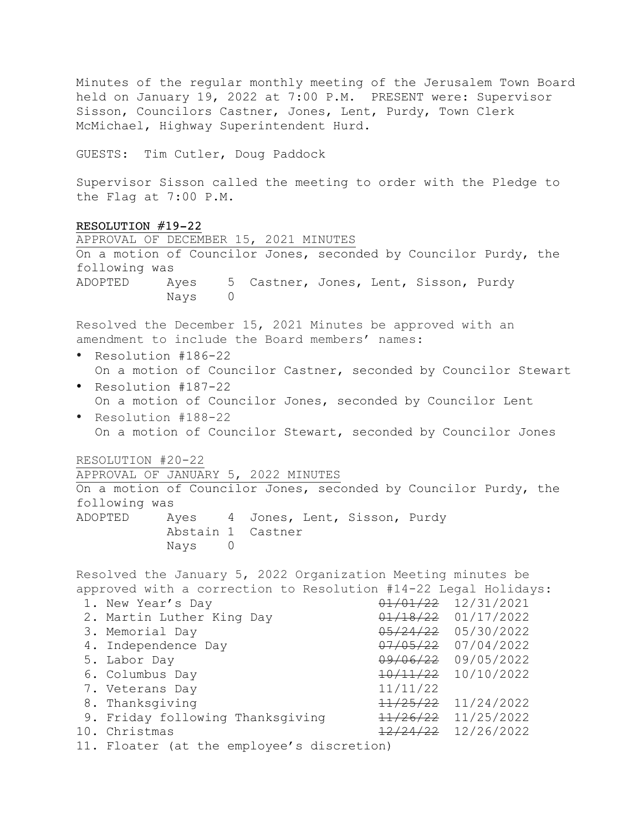Minutes of the regular monthly meeting of the Jerusalem Town Board held on January 19, 2022 at 7:00 P.M. PRESENT were: Supervisor Sisson, Councilors Castner, Jones, Lent, Purdy, Town Clerk McMichael, Highway Superintendent Hurd.

GUESTS: Tim Cutler, Doug Paddock

Supervisor Sisson called the meeting to order with the Pledge to the Flag at 7:00 P.M.

| RESOLUTION #19-22                                                                                                               |                         |  |  |
|---------------------------------------------------------------------------------------------------------------------------------|-------------------------|--|--|
| APPROVAL OF DECEMBER 15, 2021 MINUTES                                                                                           |                         |  |  |
| On a motion of Councilor Jones, seconded by Councilor Purdy, the                                                                |                         |  |  |
| following was                                                                                                                   |                         |  |  |
| ADOPTED<br>Ayes 5 Castner, Jones, Lent, Sisson, Purdy<br>Nays<br>$\Omega$                                                       |                         |  |  |
| Resolved the December 15, 2021 Minutes be approved with an<br>amendment to include the Board members' names:                    |                         |  |  |
| Resolution #186-22                                                                                                              |                         |  |  |
| On a motion of Councilor Castner, seconded by Councilor Stewart                                                                 |                         |  |  |
| Resolution #187-22<br>$\bullet$<br>On a motion of Councilor Jones, seconded by Councilor Lent                                   |                         |  |  |
| $\bullet$<br>Resolution #188-22                                                                                                 |                         |  |  |
| On a motion of Councilor Stewart, seconded by Councilor Jones                                                                   |                         |  |  |
|                                                                                                                                 |                         |  |  |
| RESOLUTION #20-22                                                                                                               |                         |  |  |
| APPROVAL OF JANUARY 5, 2022 MINUTES                                                                                             |                         |  |  |
| On a motion of Councilor Jones, seconded by Councilor Purdy, the                                                                |                         |  |  |
| following was                                                                                                                   |                         |  |  |
| ADOPTED<br>Ayes 4 Jones, Lent, Sisson, Purdy                                                                                    |                         |  |  |
| Abstain 1 Castner                                                                                                               |                         |  |  |
| Nays 0                                                                                                                          |                         |  |  |
| Resolved the January 5, 2022 Organization Meeting minutes be<br>approved with a correction to Resolution #14-22 Legal Holidays: |                         |  |  |
| 1. New Year's Day                                                                                                               | $01/01/22$ $12/31/2021$ |  |  |
| 2. Martin Luther King Day                                                                                                       | $01/18/22$ $01/17/2022$ |  |  |
| 3. Memorial Day                                                                                                                 | $05/24/22$ 05/30/2022   |  |  |
| 4. Independence Day                                                                                                             | $07/05/22$ 07/04/2022   |  |  |
| 5. Labor Day                                                                                                                    | 09/06/22 09/05/2022     |  |  |
| 6. Columbus Day                                                                                                                 | $10/11/22$ $10/10/2022$ |  |  |
| 7. Veterans Day                                                                                                                 | 11/11/22                |  |  |
| 8. Thanksgiving                                                                                                                 | $11/25/22$ $11/24/2022$ |  |  |
| 9. Friday following Thanksgiving                                                                                                | 11/26/22 11/25/2022     |  |  |
| 10. Christmas                                                                                                                   | 12/24/22 12/26/2022     |  |  |
| 11. Floater (at the employee's discretion)                                                                                      |                         |  |  |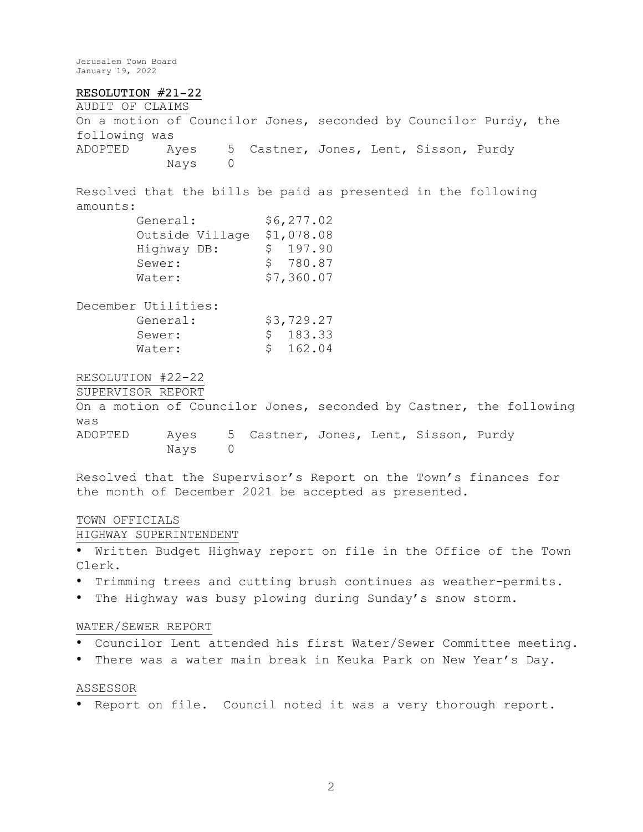### RESOLUTION #21-22

AUDIT OF CLAIMS On a motion of Councilor Jones, seconded by Councilor Purdy, the following was ADOPTED Ayes 5 Castner, Jones, Lent, Sisson, Purdy Nays 0

Resolved that the bills be paid as presented in the following amounts:

| General:    |                 |    | \$6, 277.02 |
|-------------|-----------------|----|-------------|
|             | Outside Village |    | \$1,078.08  |
| Highway DB: |                 | S. | 197.90      |
| Sewer:      |                 |    | \$780.87    |
| Water:      |                 |    | \$7,360.07  |

| December Utilities: |            |
|---------------------|------------|
| General:            | \$3,729.27 |
| Sewer:              | \$ 183.33  |
| Water:              | \$ 162.04  |
|                     |            |

RESOLUTION #22-22

SUPERVISOR REPORT

On a motion of Councilor Jones, seconded by Castner, the following was ADOPTED Ayes 5 Castner, Jones, Lent, Sisson, Purdy Nays 0

Resolved that the Supervisor's Report on the Town's finances for the month of December 2021 be accepted as presented.

# TOWN OFFICIALS

HIGHWAY SUPERINTENDENT

• Written Budget Highway report on file in the Office of the Town Clerk.

- Trimming trees and cutting brush continues as weather-permits.
- The Highway was busy plowing during Sunday's snow storm.

## WATER/SEWER REPORT

- Councilor Lent attended his first Water/Sewer Committee meeting.
- There was a water main break in Keuka Park on New Year's Day.

#### ASSESSOR

• Report on file. Council noted it was a very thorough report.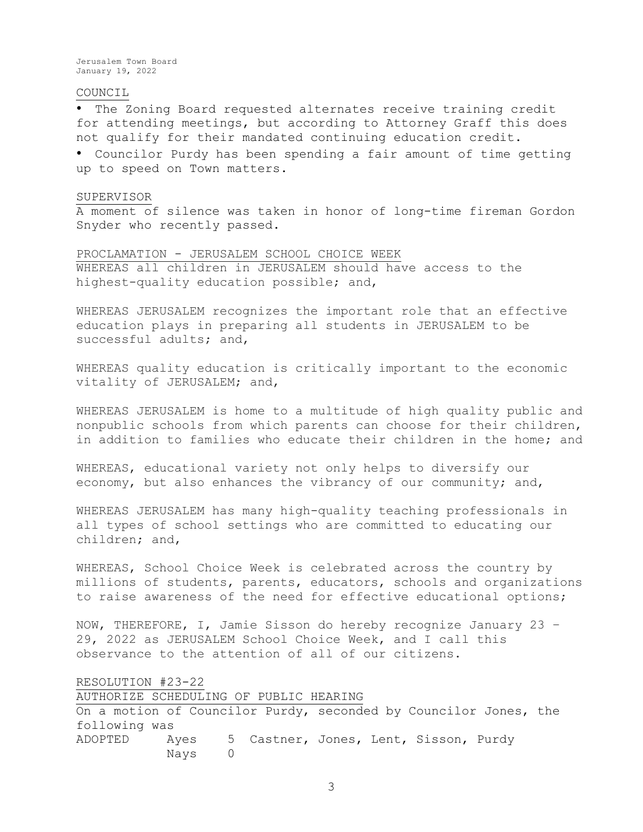#### COUNCIL

• The Zoning Board requested alternates receive training credit for attending meetings, but according to Attorney Graff this does not qualify for their mandated continuing education credit.

• Councilor Purdy has been spending a fair amount of time getting up to speed on Town matters.

#### SUPERVISOR

A moment of silence was taken in honor of long-time fireman Gordon Snyder who recently passed.

PROCLAMATION - JERUSALEM SCHOOL CHOICE WEEK WHEREAS all children in JERUSALEM should have access to the highest-quality education possible; and,

WHEREAS JERUSALEM recognizes the important role that an effective education plays in preparing all students in JERUSALEM to be successful adults; and,

WHEREAS quality education is critically important to the economic vitality of JERUSALEM; and,

WHEREAS JERUSALEM is home to a multitude of high quality public and nonpublic schools from which parents can choose for their children, in addition to families who educate their children in the home; and

WHEREAS, educational variety not only helps to diversify our economy, but also enhances the vibrancy of our community; and,

WHEREAS JERUSALEM has many high-quality teaching professionals in all types of school settings who are committed to educating our children; and,

WHEREAS, School Choice Week is celebrated across the country by millions of students, parents, educators, schools and organizations to raise awareness of the need for effective educational options;

NOW, THEREFORE, I, Jamie Sisson do hereby recognize January 23 – 29, 2022 as JERUSALEM School Choice Week, and I call this observance to the attention of all of our citizens.

## RESOLUTION #23-22

AUTHORIZE SCHEDULING OF PUBLIC HEARING On a motion of Councilor Purdy, seconded by Councilor Jones, the following was ADOPTED Ayes 5 Castner, Jones, Lent, Sisson, Purdy Nays 0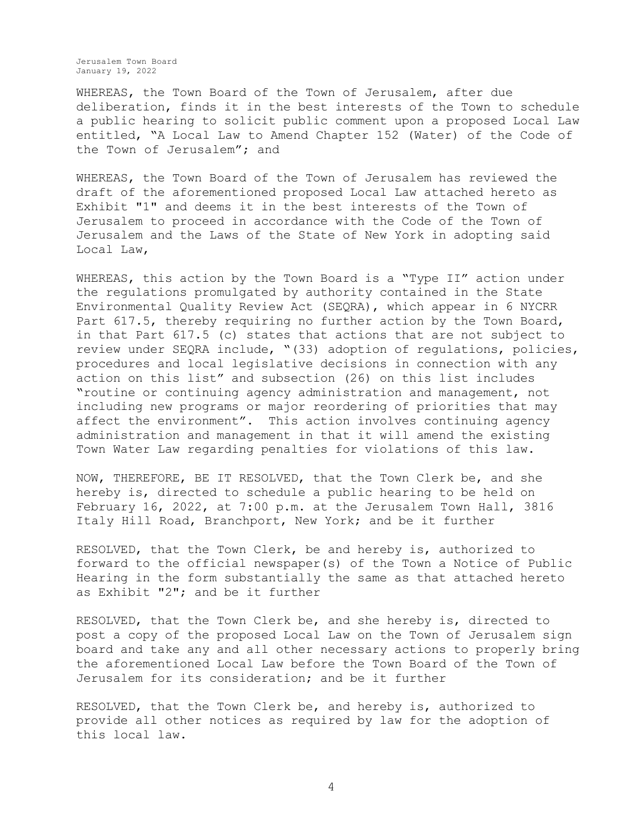WHEREAS, the Town Board of the Town of Jerusalem, after due deliberation, finds it in the best interests of the Town to schedule a public hearing to solicit public comment upon a proposed Local Law entitled, "A Local Law to Amend Chapter 152 (Water) of the Code of the Town of Jerusalem"; and

WHEREAS, the Town Board of the Town of Jerusalem has reviewed the draft of the aforementioned proposed Local Law attached hereto as Exhibit "1" and deems it in the best interests of the Town of Jerusalem to proceed in accordance with the Code of the Town of Jerusalem and the Laws of the State of New York in adopting said Local Law,

WHEREAS, this action by the Town Board is a "Type II" action under the regulations promulgated by authority contained in the State Environmental Quality Review Act (SEQRA), which appear in 6 NYCRR Part 617.5, thereby requiring no further action by the Town Board, in that Part 617.5 (c) states that actions that are not subject to review under SEQRA include, "(33) adoption of regulations, policies, procedures and local legislative decisions in connection with any action on this list" and subsection (26) on this list includes "routine or continuing agency administration and management, not including new programs or major reordering of priorities that may affect the environment". This action involves continuing agency administration and management in that it will amend the existing Town Water Law regarding penalties for violations of this law.

NOW, THEREFORE, BE IT RESOLVED, that the Town Clerk be, and she hereby is, directed to schedule a public hearing to be held on February 16, 2022, at 7:00 p.m. at the Jerusalem Town Hall, 3816 Italy Hill Road, Branchport, New York; and be it further

RESOLVED, that the Town Clerk, be and hereby is, authorized to forward to the official newspaper(s) of the Town a Notice of Public Hearing in the form substantially the same as that attached hereto as Exhibit "2"; and be it further

RESOLVED, that the Town Clerk be, and she hereby is, directed to post a copy of the proposed Local Law on the Town of Jerusalem sign board and take any and all other necessary actions to properly bring the aforementioned Local Law before the Town Board of the Town of Jerusalem for its consideration; and be it further

RESOLVED, that the Town Clerk be, and hereby is, authorized to provide all other notices as required by law for the adoption of this local law.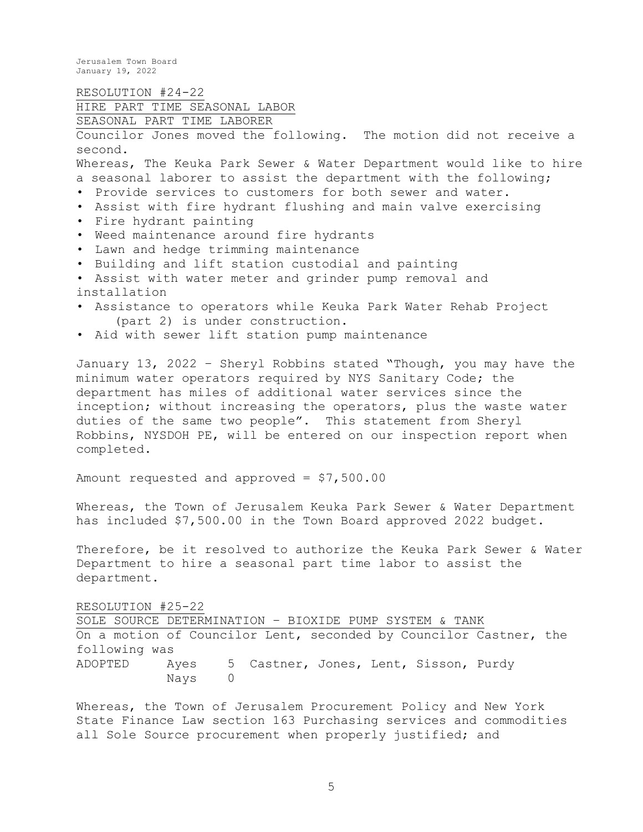RESOLUTION #24-22 HIRE PART TIME SEASONAL LABOR SEASONAL PART TIME LABORER Councilor Jones moved the following. The motion did not receive a second. Whereas, The Keuka Park Sewer & Water Department would like to hire a seasonal laborer to assist the department with the following; • Provide services to customers for both sewer and water. • Assist with fire hydrant flushing and main valve exercising • Fire hydrant painting • Weed maintenance around fire hydrants • Lawn and hedge trimming maintenance • Building and lift station custodial and painting • Assist with water meter and grinder pump removal and installation • Assistance to operators while Keuka Park Water Rehab Project (part 2) is under construction. • Aid with sewer lift station pump maintenance January 13, 2022 – Sheryl Robbins stated "Though, you may have the minimum water operators required by NYS Sanitary Code; the department has miles of additional water services since the

inception; without increasing the operators, plus the waste water duties of the same two people". This statement from Sheryl Robbins, NYSDOH PE, will be entered on our inspection report when completed.

Amount requested and approved = \$7,500.00

Whereas, the Town of Jerusalem Keuka Park Sewer & Water Department has included \$7,500.00 in the Town Board approved 2022 budget.

Therefore, be it resolved to authorize the Keuka Park Sewer & Water Department to hire a seasonal part time labor to assist the department.

RESOLUTION #25-22

SOLE SOURCE DETERMINATION – BIOXIDE PUMP SYSTEM & TANK On a motion of Councilor Lent, seconded by Councilor Castner, the following was ADOPTED Ayes 5 Castner, Jones, Lent, Sisson, Purdy Nays 0

Whereas, the Town of Jerusalem Procurement Policy and New York State Finance Law section 163 Purchasing services and commodities all Sole Source procurement when properly justified; and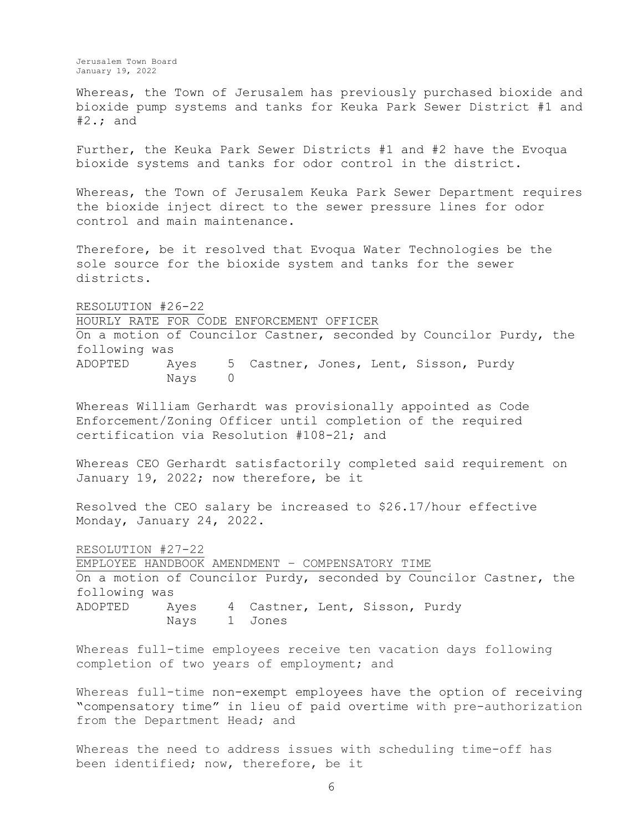Whereas, the Town of Jerusalem has previously purchased bioxide and bioxide pump systems and tanks for Keuka Park Sewer District #1 and  $#2$ .; and

Further, the Keuka Park Sewer Districts #1 and #2 have the Evoqua bioxide systems and tanks for odor control in the district.

Whereas, the Town of Jerusalem Keuka Park Sewer Department requires the bioxide inject direct to the sewer pressure lines for odor control and main maintenance.

Therefore, be it resolved that Evoqua Water Technologies be the sole source for the bioxide system and tanks for the sewer districts.

RESOLUTION #26-22

HOURLY RATE FOR CODE ENFORCEMENT OFFICER

On a motion of Councilor Castner, seconded by Councilor Purdy, the following was ADOPTED Ayes 5 Castner, Jones, Lent, Sisson, Purdy

Nays 0

Whereas William Gerhardt was provisionally appointed as Code Enforcement/Zoning Officer until completion of the required certification via Resolution #108-21; and

Whereas CEO Gerhardt satisfactorily completed said requirement on January 19, 2022; now therefore, be it

Resolved the CEO salary be increased to \$26.17/hour effective Monday, January 24, 2022.

RESOLUTION #27-22 EMPLOYEE HANDBOOK AMENDMENT – COMPENSATORY TIME On a motion of Councilor Purdy, seconded by Councilor Castner, the following was ADOPTED Ayes 4 Castner, Lent, Sisson, Purdy Nays 1 Jones

Whereas full-time employees receive ten vacation days following completion of two years of employment; and

Whereas full-time non-exempt employees have the option of receiving "compensatory time" in lieu of paid overtime with pre-authorization from the Department Head; and

Whereas the need to address issues with scheduling time-off has been identified; now, therefore, be it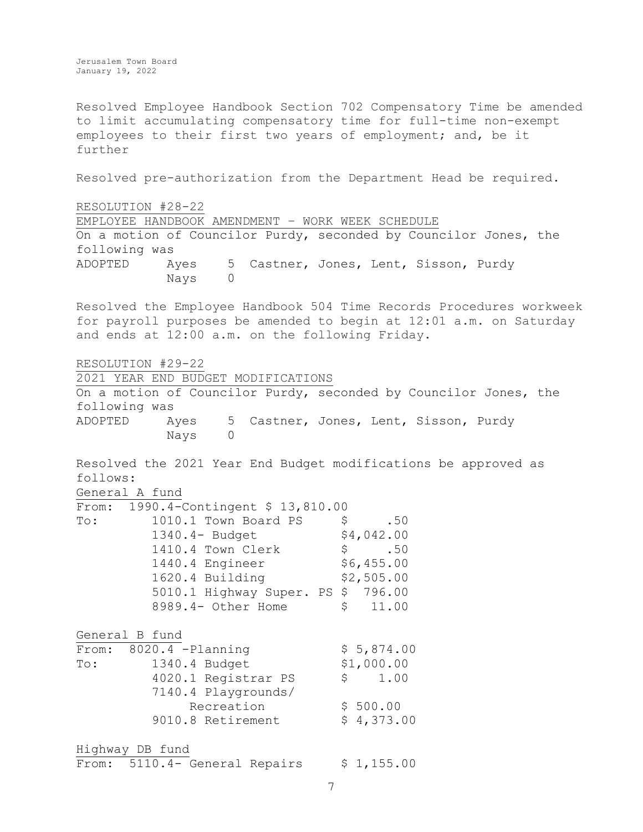Resolved Employee Handbook Section 702 Compensatory Time be amended to limit accumulating compensatory time for full-time non-exempt employees to their first two years of employment; and, be it further

Resolved pre-authorization from the Department Head be required.

RESOLUTION #28-22 EMPLOYEE HANDBOOK AMENDMENT – WORK WEEK SCHEDULE On a motion of Councilor Purdy, seconded by Councilor Jones, the following was ADOPTED Ayes 5 Castner, Jones, Lent, Sisson, Purdy Nays 0

Resolved the Employee Handbook 504 Time Records Procedures workweek for payroll purposes be amended to begin at 12:01 a.m. on Saturday and ends at 12:00 a.m. on the following Friday.

RESOLUTION #29-22

2021 YEAR END BUDGET MODIFICATIONS

On a motion of Councilor Purdy, seconded by Councilor Jones, the following was ADOPTED Ayes 5 Castner, Jones, Lent, Sisson, Purdy Nays 0

Resolved the 2021 Year End Budget modifications be approved as follows:

General A fund  $\overline{r_{rnm}}$ . 1990. 1-Contingent \$ 13,810.00

| $E$ $\perp$ $O$ iii. | TASO: 4-CONCINGENC & TA'OIA'OO     |            |
|----------------------|------------------------------------|------------|
| To:                  | 1010.1 Town Board PS               | .50<br>S   |
|                      | $1340.4$ - Budget                  | \$4,042.00 |
|                      | 1410.4 Town Clerk                  | .50<br>S   |
|                      | 1440.4 Engineer                    | \$6,455.00 |
|                      | 1620.4 Building                    | \$2,505.00 |
|                      | 5010.1 Highway Super. PS \$ 796.00 |            |
|                      | 8989.4- Other Home                 | \$11.00    |
|                      |                                    |            |

General B fund  $\overline{\text{From: } } 8020.4 - \text{Planning }$   $\overline{\text{S} 5.874.00}$ 

| $L$ $\perp$ $\cup$ $\ldots$ | $0020 \cdot 7$ requirement | Y J, U / T, U V |
|-----------------------------|----------------------------|-----------------|
| $\texttt{T}\circ\colon$     | 1340.4 Budget              | \$1,000.00      |
|                             | 4020.1 Registrar PS        | 1.00<br>S       |
|                             | 7140.4 Playgrounds/        |                 |
|                             | Recreation                 | \$500.00        |
|                             | 9010.8 Retirement          | \$4,373.00      |
|                             |                            |                 |
| -- 1 -                      |                            |                 |

Highway DB fund From:  $5110.4$ - General Repairs  $$ 1,155.00$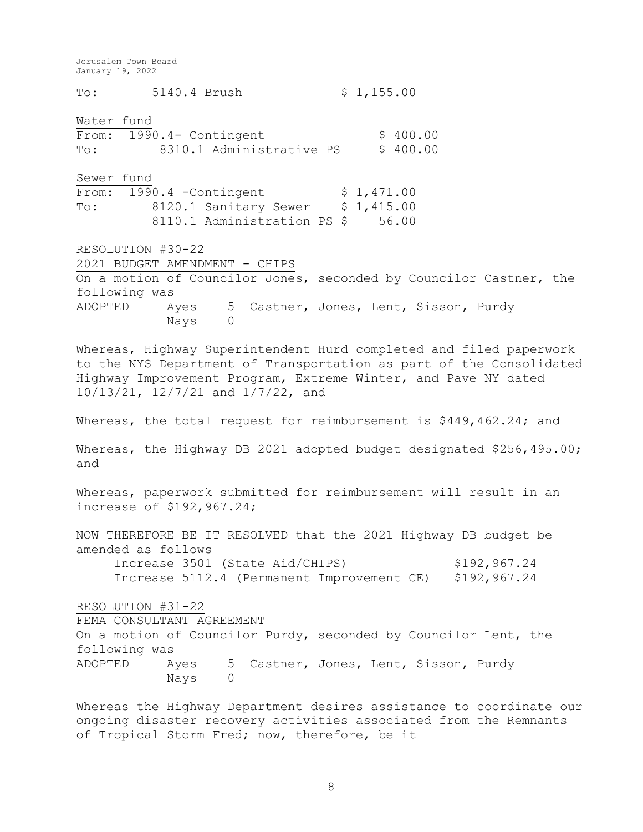To: 5140.4 Brush \$ 1,155.00 Water fund  $\overline{\text{From:}}$  1990.4- Contingent  $$ 400.00$ To: 8310.1 Administrative PS \$ 400.00 Sewer fund From: 1990.4 - Contingent \$ 1,471.00 To: 8120.1 Sanitary Sewer \$ 1,415.00 8110.1 Administration PS \$ 56.00 RESOLUTION #30-22 2021 BUDGET AMENDMENT - CHIPS On a motion of Councilor Jones, seconded by Councilor Castner, the following was ADOPTED Ayes 5 Castner, Jones, Lent, Sisson, Purdy Nays 0 Whereas, Highway Superintendent Hurd completed and filed paperwork to the NYS Department of Transportation as part of the Consolidated Highway Improvement Program, Extreme Winter, and Pave NY dated 10/13/21, 12/7/21 and 1/7/22, and Whereas, the total request for reimbursement is \$449,462.24; and Whereas, the Highway DB 2021 adopted budget designated \$256,495.00; and Whereas, paperwork submitted for reimbursement will result in an increase of \$192,967.24; NOW THEREFORE BE IT RESOLVED that the 2021 Highway DB budget be amended as follows Increase 3501 (State Aid/CHIPS) \$192,967.24 Increase 5112.4 (Permanent Improvement CE) \$192,967.24 RESOLUTION #31-22 FEMA CONSULTANT AGREEMENT On a motion of Councilor Purdy, seconded by Councilor Lent, the following was ADOPTED Ayes 5 Castner, Jones, Lent, Sisson, Purdy Nays 0 Whereas the Highway Department desires assistance to coordinate our ongoing disaster recovery activities associated from the Remnants of Tropical Storm Fred; now, therefore, be it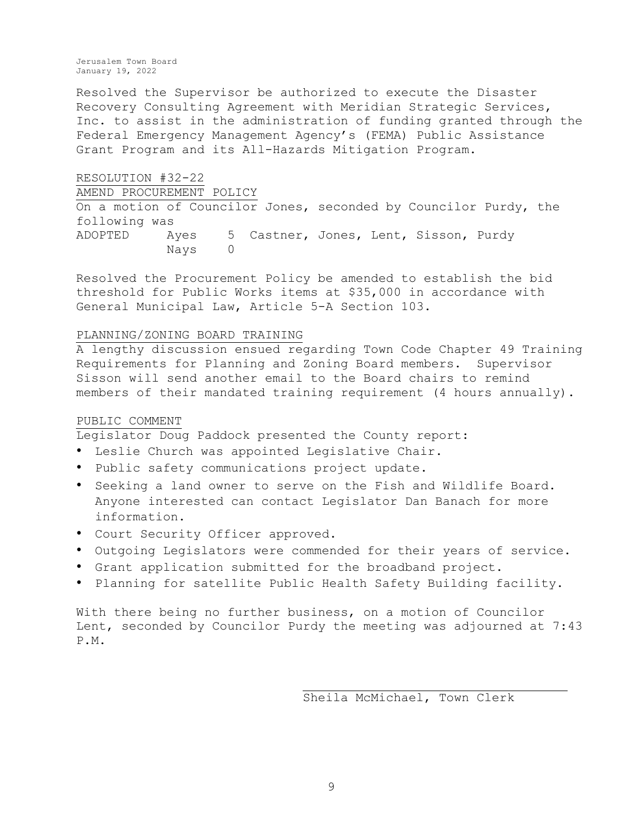Resolved the Supervisor be authorized to execute the Disaster Recovery Consulting Agreement with Meridian Strategic Services, Inc. to assist in the administration of funding granted through the Federal Emergency Management Agency's (FEMA) Public Assistance Grant Program and its All-Hazards Mitigation Program.

RESOLUTION #32-22 AMEND PROCUREMENT POLICY On a motion of Councilor Jones, seconded by Councilor Purdy, the following was ADOPTED Ayes 5 Castner, Jones, Lent, Sisson, Purdy Nays 0

Resolved the Procurement Policy be amended to establish the bid threshold for Public Works items at \$35,000 in accordance with General Municipal Law, Article 5-A Section 103.

#### PLANNING/ZONING BOARD TRAINING

A lengthy discussion ensued regarding Town Code Chapter 49 Training Requirements for Planning and Zoning Board members. Supervisor Sisson will send another email to the Board chairs to remind members of their mandated training requirement (4 hours annually).

### PUBLIC COMMENT

Legislator Doug Paddock presented the County report:

- Leslie Church was appointed Legislative Chair.
- Public safety communications project update.
- Seeking a land owner to serve on the Fish and Wildlife Board. Anyone interested can contact Legislator Dan Banach for more information.
- Court Security Officer approved.
- Outgoing Legislators were commended for their years of service.
- Grant application submitted for the broadband project.
- Planning for satellite Public Health Safety Building facility.

With there being no further business, on a motion of Councilor Lent, seconded by Councilor Purdy the meeting was adjourned at 7:43 P.M.

Sheila McMichael, Town Clerk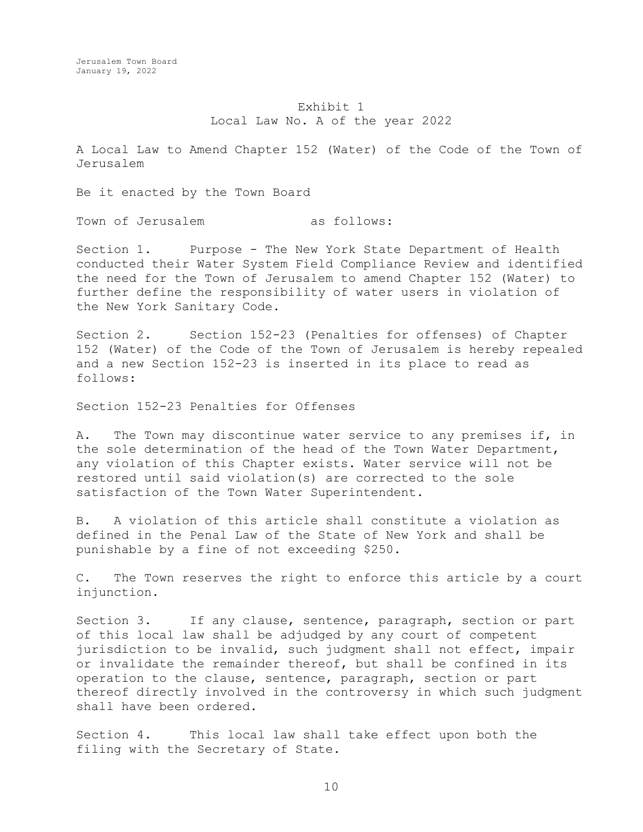## Exhibit 1 Local Law No. A of the year 2022

A Local Law to Amend Chapter 152 (Water) of the Code of the Town of Jerusalem

Be it enacted by the Town Board

Town of Jerusalem as follows:

Section 1. Purpose - The New York State Department of Health conducted their Water System Field Compliance Review and identified the need for the Town of Jerusalem to amend Chapter 152 (Water) to further define the responsibility of water users in violation of the New York Sanitary Code.

Section 2. Section 152-23 (Penalties for offenses) of Chapter 152 (Water) of the Code of the Town of Jerusalem is hereby repealed and a new Section 152-23 is inserted in its place to read as follows:

Section 152-23 Penalties for Offenses

A. The Town may discontinue water service to any premises if, in the sole determination of the head of the Town Water Department, any violation of this Chapter exists. Water service will not be restored until said violation(s) are corrected to the sole satisfaction of the Town Water Superintendent.

B. A violation of this article shall constitute a violation as defined in the Penal Law of the State of New York and shall be punishable by a fine of not exceeding \$250.

C. The Town reserves the right to enforce this article by a court injunction.

Section 3. If any clause, sentence, paragraph, section or part of this local law shall be adjudged by any court of competent jurisdiction to be invalid, such judgment shall not effect, impair or invalidate the remainder thereof, but shall be confined in its operation to the clause, sentence, paragraph, section or part thereof directly involved in the controversy in which such judgment shall have been ordered.

Section 4. This local law shall take effect upon both the filing with the Secretary of State.